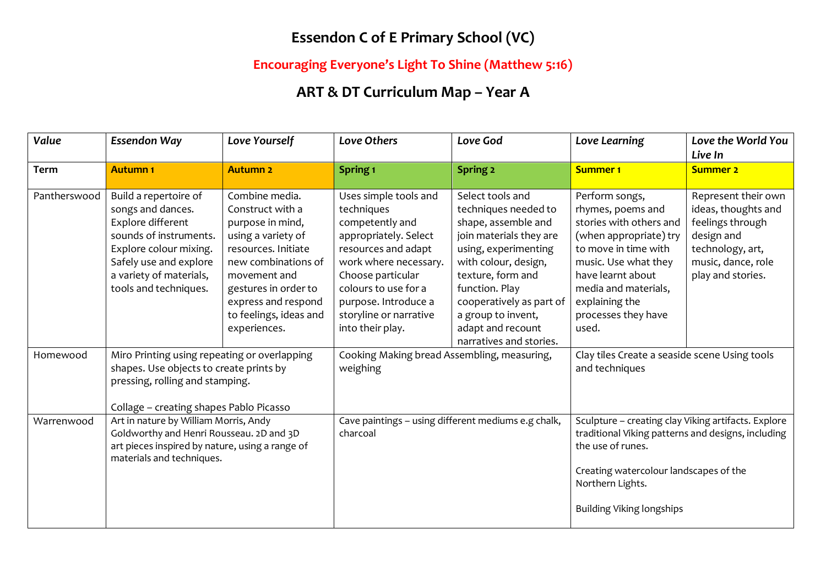### **Essendon C of E Primary School (VC)**

#### **Encouraging Everyone's Light To Shine (Matthew 5:16)**

# **ART & DT Curriculum Map – Year A**

| Value        | <b>Essendon Way</b>                                                                                                                                                                               | Love Yourself                                                                                                                                                                                                                       | <b>Love Others</b>                                                                                                                                                                                                                                 | Love God                                                                                                                                                                                                                                                                            | Love Learning                                                                                                                                                                                                                           | Love the World You<br>Live In                                                                                                               |
|--------------|---------------------------------------------------------------------------------------------------------------------------------------------------------------------------------------------------|-------------------------------------------------------------------------------------------------------------------------------------------------------------------------------------------------------------------------------------|----------------------------------------------------------------------------------------------------------------------------------------------------------------------------------------------------------------------------------------------------|-------------------------------------------------------------------------------------------------------------------------------------------------------------------------------------------------------------------------------------------------------------------------------------|-----------------------------------------------------------------------------------------------------------------------------------------------------------------------------------------------------------------------------------------|---------------------------------------------------------------------------------------------------------------------------------------------|
| <b>Term</b>  | <b>Autumn1</b>                                                                                                                                                                                    | <b>Autumn 2</b>                                                                                                                                                                                                                     | Spring <sub>1</sub>                                                                                                                                                                                                                                | <b>Spring 2</b>                                                                                                                                                                                                                                                                     | <b>Summer 1</b>                                                                                                                                                                                                                         | <b>Summer 2</b>                                                                                                                             |
| Pantherswood | Build a repertoire of<br>songs and dances.<br>Explore different<br>sounds of instruments.<br>Explore colour mixing.<br>Safely use and explore<br>a variety of materials,<br>tools and techniques. | Combine media.<br>Construct with a<br>purpose in mind,<br>using a variety of<br>resources. Initiate<br>new combinations of<br>movement and<br>gestures in order to<br>express and respond<br>to feelings, ideas and<br>experiences. | Uses simple tools and<br>techniques<br>competently and<br>appropriately. Select<br>resources and adapt<br>work where necessary.<br>Choose particular<br>colours to use for a<br>purpose. Introduce a<br>storyline or narrative<br>into their play. | Select tools and<br>techniques needed to<br>shape, assemble and<br>join materials they are<br>using, experimenting<br>with colour, design,<br>texture, form and<br>function. Play<br>cooperatively as part of<br>a group to invent,<br>adapt and recount<br>narratives and stories. | Perform songs,<br>rhymes, poems and<br>stories with others and<br>(when appropriate) try<br>to move in time with<br>music. Use what they<br>have learnt about<br>media and materials,<br>explaining the<br>processes they have<br>used. | Represent their own<br>ideas, thoughts and<br>feelings through<br>design and<br>technology, art,<br>music, dance, role<br>play and stories. |
| Homewood     | Miro Printing using repeating or overlapping<br>shapes. Use objects to create prints by<br>pressing, rolling and stamping.<br>Collage - creating shapes Pablo Picasso                             |                                                                                                                                                                                                                                     | Cooking Making bread Assembling, measuring,<br>weighing                                                                                                                                                                                            |                                                                                                                                                                                                                                                                                     | Clay tiles Create a seaside scene Using tools<br>and techniques                                                                                                                                                                         |                                                                                                                                             |
| Warrenwood   | Art in nature by William Morris, Andy<br>Goldworthy and Henri Rousseau. 2D and 3D<br>art pieces inspired by nature, using a range of<br>materials and techniques.                                 |                                                                                                                                                                                                                                     | Cave paintings - using different mediums e.g chalk,<br>charcoal                                                                                                                                                                                    |                                                                                                                                                                                                                                                                                     | Sculpture - creating clay Viking artifacts. Explore<br>traditional Viking patterns and designs, including<br>the use of runes.<br>Creating watercolour landscapes of the<br>Northern Lights.<br><b>Building Viking longships</b>        |                                                                                                                                             |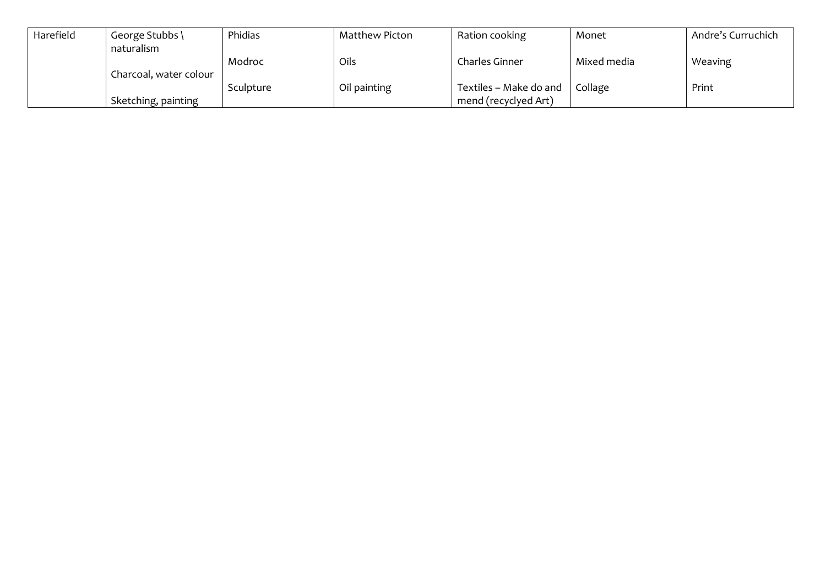| Harefield | George Stubbs \        | Phidias   | Matthew Picton | Ration cooking         | Monet       | Andre's Curruchich |
|-----------|------------------------|-----------|----------------|------------------------|-------------|--------------------|
|           | naturalism             |           |                |                        |             |                    |
|           |                        | Modroc    | Oils           | Charles Ginner         | Mixed media | Weaving            |
|           | Charcoal, water colour |           |                |                        |             |                    |
|           |                        | Sculpture | Oil painting   | Textiles - Make do and | Collage     | Print              |
|           | Sketching, painting    |           |                | mend (recyclyed Art)   |             |                    |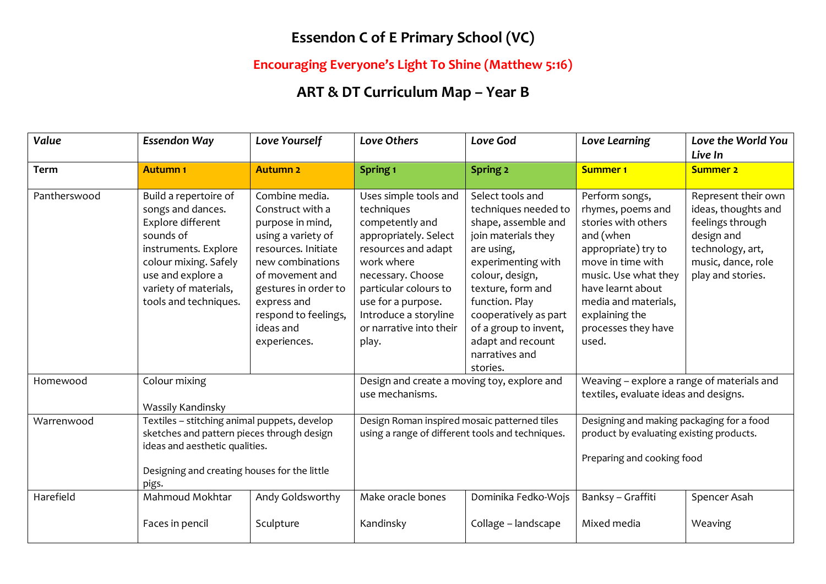### **Essendon C of E Primary School (VC)**

#### **Encouraging Everyone's Light To Shine (Matthew 5:16)**

# **ART & DT Curriculum Map – Year B**

| Value        | <b>Essendon Way</b>                                                                                                                                                                                  | Love Yourself                                                                                                                                                                                                                          | Love Others                                                                                                                                                                                                                                           | Love God                                                                                                                                                                                                                                                                                  | Love Learning                                                                                                                                                                                                                              | Love the World You<br>Live In                                                                                                               |
|--------------|------------------------------------------------------------------------------------------------------------------------------------------------------------------------------------------------------|----------------------------------------------------------------------------------------------------------------------------------------------------------------------------------------------------------------------------------------|-------------------------------------------------------------------------------------------------------------------------------------------------------------------------------------------------------------------------------------------------------|-------------------------------------------------------------------------------------------------------------------------------------------------------------------------------------------------------------------------------------------------------------------------------------------|--------------------------------------------------------------------------------------------------------------------------------------------------------------------------------------------------------------------------------------------|---------------------------------------------------------------------------------------------------------------------------------------------|
| <b>Term</b>  | <b>Autumn1</b>                                                                                                                                                                                       | <b>Autumn 2</b>                                                                                                                                                                                                                        | Spring <sub>1</sub>                                                                                                                                                                                                                                   | Spring 2                                                                                                                                                                                                                                                                                  | <b>Summer 1</b>                                                                                                                                                                                                                            | <b>Summer 2</b>                                                                                                                             |
| Pantherswood | Build a repertoire of<br>songs and dances.<br>Explore different<br>sounds of<br>instruments. Explore<br>colour mixing. Safely<br>use and explore a<br>variety of materials,<br>tools and techniques. | Combine media.<br>Construct with a<br>purpose in mind,<br>using a variety of<br>resources. Initiate<br>new combinations<br>of movement and<br>gestures in order to<br>express and<br>respond to feelings,<br>ideas and<br>experiences. | Uses simple tools and<br>techniques<br>competently and<br>appropriately. Select<br>resources and adapt<br>work where<br>necessary. Choose<br>particular colours to<br>use for a purpose.<br>Introduce a storyline<br>or narrative into their<br>play. | Select tools and<br>techniques needed to<br>shape, assemble and<br>join materials they<br>are using,<br>experimenting with<br>colour, design,<br>texture, form and<br>function. Play<br>cooperatively as part<br>of a group to invent,<br>adapt and recount<br>narratives and<br>stories. | Perform songs,<br>rhymes, poems and<br>stories with others<br>and (when<br>appropriate) try to<br>move in time with<br>music. Use what they<br>have learnt about<br>media and materials,<br>explaining the<br>processes they have<br>used. | Represent their own<br>ideas, thoughts and<br>feelings through<br>design and<br>technology, art,<br>music, dance, role<br>play and stories. |
| Homewood     | Colour mixing<br>Wassily Kandinsky                                                                                                                                                                   |                                                                                                                                                                                                                                        | Design and create a moving toy, explore and<br>use mechanisms.                                                                                                                                                                                        |                                                                                                                                                                                                                                                                                           | Weaving - explore a range of materials and<br>textiles, evaluate ideas and designs.                                                                                                                                                        |                                                                                                                                             |
| Warrenwood   | Textiles - stitching animal puppets, develop<br>sketches and pattern pieces through design<br>ideas and aesthetic qualities.<br>Designing and creating houses for the little<br>pigs.                |                                                                                                                                                                                                                                        | Design Roman inspired mosaic patterned tiles<br>using a range of different tools and techniques.                                                                                                                                                      |                                                                                                                                                                                                                                                                                           | Designing and making packaging for a food<br>product by evaluating existing products.<br>Preparing and cooking food                                                                                                                        |                                                                                                                                             |
| Harefield    | Mahmoud Mokhtar<br>Faces in pencil                                                                                                                                                                   | Andy Goldsworthy<br>Sculpture                                                                                                                                                                                                          | Make oracle bones<br>Kandinsky                                                                                                                                                                                                                        | Dominika Fedko-Wojs<br>Collage - landscape                                                                                                                                                                                                                                                | Banksy - Graffiti<br>Mixed media                                                                                                                                                                                                           | Spencer Asah<br>Weaving                                                                                                                     |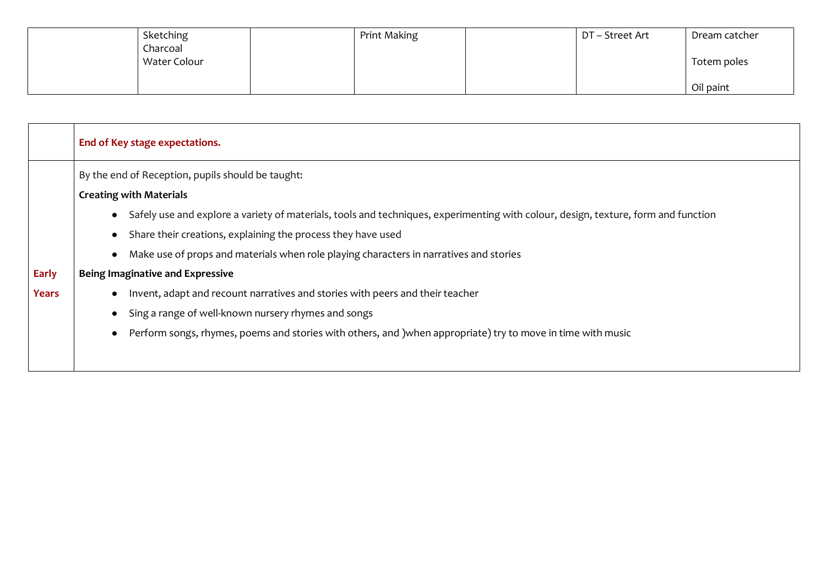| Sketching    | Print Making | DT – Street Art | Dream catcher |
|--------------|--------------|-----------------|---------------|
| Charcoal     |              |                 |               |
| Water Colour |              |                 | Totem poles   |
|              |              |                 |               |
|              |              |                 | Oil paint     |

|              | End of Key stage expectations.                                                                                                     |  |  |  |  |  |
|--------------|------------------------------------------------------------------------------------------------------------------------------------|--|--|--|--|--|
|              | By the end of Reception, pupils should be taught:                                                                                  |  |  |  |  |  |
|              | <b>Creating with Materials</b>                                                                                                     |  |  |  |  |  |
|              | Safely use and explore a variety of materials, tools and techniques, experimenting with colour, design, texture, form and function |  |  |  |  |  |
|              | Share their creations, explaining the process they have used                                                                       |  |  |  |  |  |
|              | Make use of props and materials when role playing characters in narratives and stories                                             |  |  |  |  |  |
| <b>Early</b> | <b>Being Imaginative and Expressive</b>                                                                                            |  |  |  |  |  |
| Years        | Invent, adapt and recount narratives and stories with peers and their teacher                                                      |  |  |  |  |  |
|              | Sing a range of well-known nursery rhymes and songs                                                                                |  |  |  |  |  |
|              | Perform songs, rhymes, poems and stories with others, and ) when appropriate) try to move in time with music                       |  |  |  |  |  |
|              |                                                                                                                                    |  |  |  |  |  |
|              |                                                                                                                                    |  |  |  |  |  |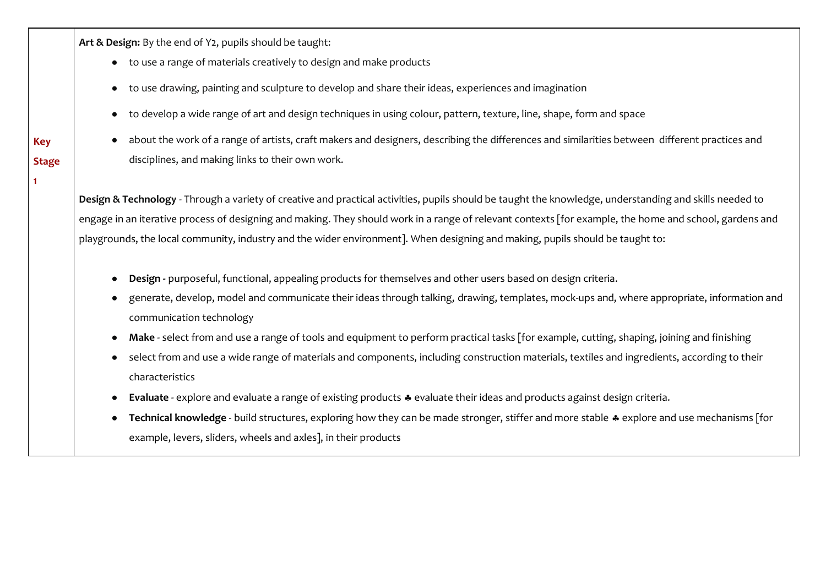**Art & Design:** By the end of Y2, pupils should be taught:

- to use a range of materials creatively to design and make products
- to use drawing, painting and sculpture to develop and share their ideas, experiences and imagination
- to develop a wide range of art and design techniques in using colour, pattern, texture, line, shape, form and space
- about the work of a range of artists, craft makers and designers, describing the differences and similarities between different practices and disciplines, and making links to their own work.

**Design & Technology** - Through a variety of creative and practical activities, pupils should be taught the knowledge, understanding and skills needed to engage in an iterative process of designing and making. They should work in a range of relevant contexts [for example, the home and school, gardens and playgrounds, the local community, industry and the wider environment]. When designing and making, pupils should be taught to:

- **Design** purposeful, functional, appealing products for themselves and other users based on design criteria.
- generate, develop, model and communicate their ideas through talking, drawing, templates, mock-ups and, where appropriate, information and communication technology
- Make select from and use a range of tools and equipment to perform practical tasks [for example, cutting, shaping, joining and finishing
- select from and use a wide range of materials and components, including construction materials, textiles and ingredients, according to their characteristics
- **Evaluate** explore and evaluate a range of existing products  $\clubsuit$  evaluate their ideas and products against design criteria.
- **Technical knowledge** build structures, exploring how they can be made stronger, stiffer and more stable  $\ast$  explore and use mechanisms [for example, levers, sliders, wheels and axles], in their products

**Stage 1**

**Key**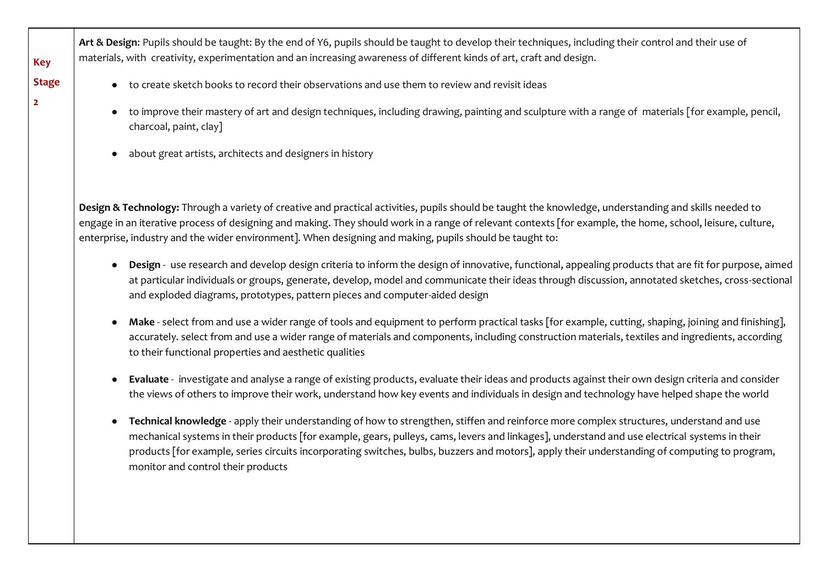**Art & Design**: Pupils should be taught: By the end of Y6, pupils should be taught to develop their techniques, including their control and their use of materials, with creativity, experimentation and an increasing awareness of different kinds of art, craft and design.

- to create sketch books to record their observations and use them to review and revisit ideas
- to improve their mastery of art and design techniques, including drawing, painting and sculpture with a range of materials [for example, pencil, charcoal, paint, clay]
- about great artists, architects and designers in history

**Key** 

**2**

**Stage** 

**Design & Technology:** Through a variety of creative and practical activities, pupils should be taught the knowledge, understanding and skills needed to engage in an iterative process of designing and making. They should work in a range of relevant contexts [for example, the home, school, leisure, culture, enterprise, industry and the wider environment]. When designing and making, pupils should be taught to:

- **Design** use research and develop design criteria to inform the design of innovative, functional, appealing products that are fit for purpose, aimed at particular individuals or groups, generate, develop, model and communicate their ideas through discussion, annotated sketches, cross-sectional and exploded diagrams, prototypes, pattern pieces and computer-aided design
- Make select from and use a wider range of tools and equipment to perform practical tasks [for example, cutting, shaping, joining and finishing], accurately. select from and use a wider range of materials and components, including construction materials, textiles and ingredients, according to their functional properties and aesthetic qualities
- **Evaluate** investigate and analyse a range of existing products, evaluate their ideas and products against their own design criteria and consider the views of others to improve their work, understand how key events and individuals in design and technology have helped shape the world
- Technical knowledge apply their understanding of how to strengthen, stiffen and reinforce more complex structures, understand and use mechanical systems in their products [for example, gears, pulleys, cams, levers and linkages], understand and use electrical systems in their products [for example, series circuits incorporating switches, bulbs, buzzers and motors], apply their understanding of computing to program, monitor and control their products